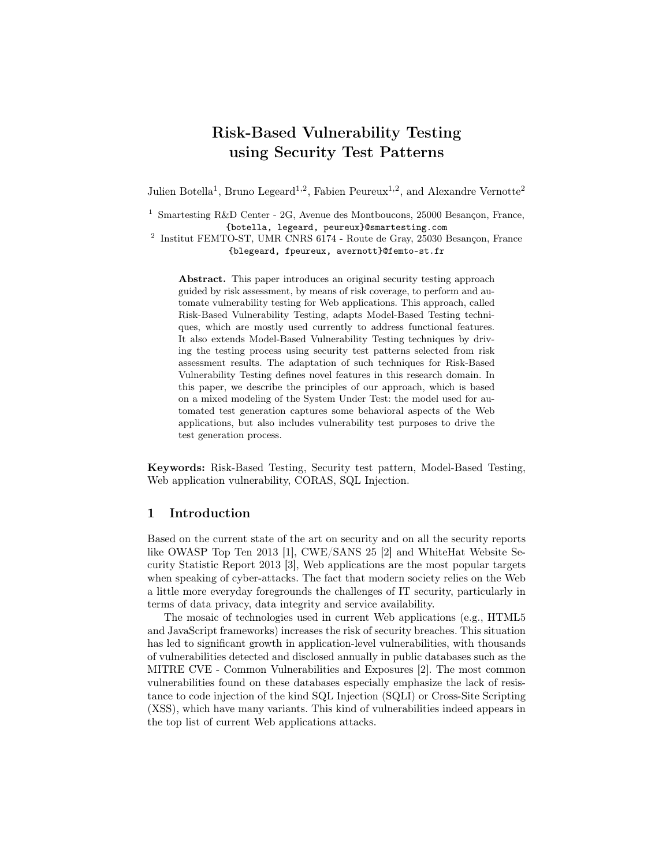# Risk-Based Vulnerability Testing using Security Test Patterns

Julien Botella<sup>1</sup>, Bruno Legeard<sup>1,2</sup>, Fabien Peureux<sup>1,2</sup>, and Alexandre Vernotte<sup>2</sup>

<sup>1</sup> Smartesting R&D Center - 2G, Avenue des Montboucons, 25000 Besançon, France, {botella, legeard, peureux}@smartesting.com

2 Institut FEMTO-ST, UMR CNRS 6174 - Route de Gray, 25030 Besançon, France {blegeard, fpeureux, avernott}@femto-st.fr

Abstract. This paper introduces an original security testing approach guided by risk assessment, by means of risk coverage, to perform and automate vulnerability testing for Web applications. This approach, called Risk-Based Vulnerability Testing, adapts Model-Based Testing techniques, which are mostly used currently to address functional features. It also extends Model-Based Vulnerability Testing techniques by driving the testing process using security test patterns selected from risk assessment results. The adaptation of such techniques for Risk-Based Vulnerability Testing defines novel features in this research domain. In this paper, we describe the principles of our approach, which is based on a mixed modeling of the System Under Test: the model used for automated test generation captures some behavioral aspects of the Web applications, but also includes vulnerability test purposes to drive the test generation process.

Keywords: Risk-Based Testing, Security test pattern, Model-Based Testing, Web application vulnerability, CORAS, SQL Injection.

# 1 Introduction

Based on the current state of the art on security and on all the security reports like OWASP Top Ten 2013 [1], CWE/SANS 25 [2] and WhiteHat Website Security Statistic Report 2013 [3], Web applications are the most popular targets when speaking of cyber-attacks. The fact that modern society relies on the Web a little more everyday foregrounds the challenges of IT security, particularly in terms of data privacy, data integrity and service availability.

The mosaic of technologies used in current Web applications (e.g., HTML5 and JavaScript frameworks) increases the risk of security breaches. This situation has led to significant growth in application-level vulnerabilities, with thousands of vulnerabilities detected and disclosed annually in public databases such as the MITRE CVE - Common Vulnerabilities and Exposures [2]. The most common vulnerabilities found on these databases especially emphasize the lack of resistance to code injection of the kind SQL Injection (SQLI) or Cross-Site Scripting (XSS), which have many variants. This kind of vulnerabilities indeed appears in the top list of current Web applications attacks.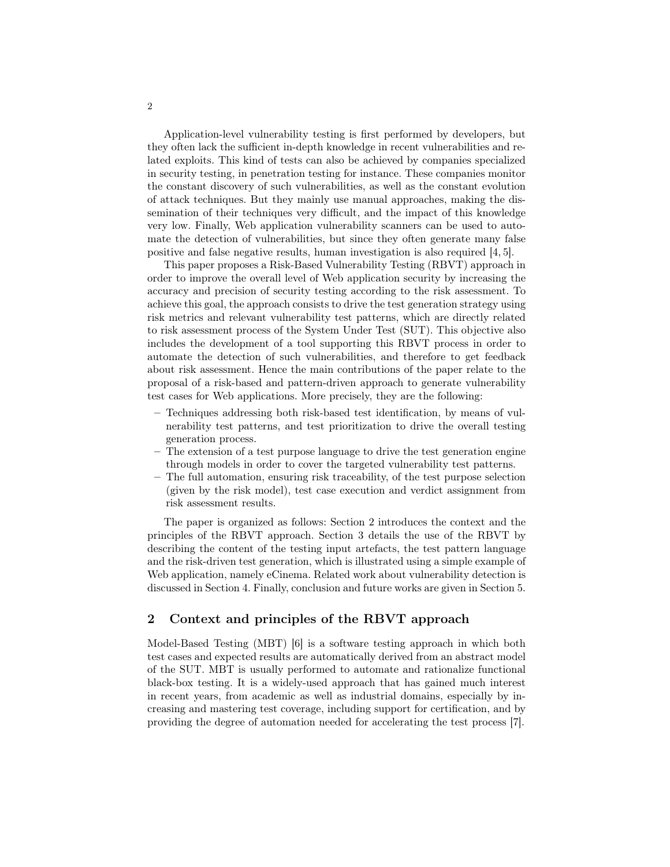Application-level vulnerability testing is first performed by developers, but they often lack the sufficient in-depth knowledge in recent vulnerabilities and related exploits. This kind of tests can also be achieved by companies specialized in security testing, in penetration testing for instance. These companies monitor the constant discovery of such vulnerabilities, as well as the constant evolution of attack techniques. But they mainly use manual approaches, making the dissemination of their techniques very difficult, and the impact of this knowledge very low. Finally, Web application vulnerability scanners can be used to automate the detection of vulnerabilities, but since they often generate many false positive and false negative results, human investigation is also required [4, 5].

This paper proposes a Risk-Based Vulnerability Testing (RBVT) approach in order to improve the overall level of Web application security by increasing the accuracy and precision of security testing according to the risk assessment. To achieve this goal, the approach consists to drive the test generation strategy using risk metrics and relevant vulnerability test patterns, which are directly related to risk assessment process of the System Under Test (SUT). This objective also includes the development of a tool supporting this RBVT process in order to automate the detection of such vulnerabilities, and therefore to get feedback about risk assessment. Hence the main contributions of the paper relate to the proposal of a risk-based and pattern-driven approach to generate vulnerability test cases for Web applications. More precisely, they are the following:

- Techniques addressing both risk-based test identification, by means of vulnerability test patterns, and test prioritization to drive the overall testing generation process.
- The extension of a test purpose language to drive the test generation engine through models in order to cover the targeted vulnerability test patterns.
- The full automation, ensuring risk traceability, of the test purpose selection (given by the risk model), test case execution and verdict assignment from risk assessment results.

The paper is organized as follows: Section 2 introduces the context and the principles of the RBVT approach. Section 3 details the use of the RBVT by describing the content of the testing input artefacts, the test pattern language and the risk-driven test generation, which is illustrated using a simple example of Web application, namely eCinema. Related work about vulnerability detection is discussed in Section 4. Finally, conclusion and future works are given in Section 5.

# 2 Context and principles of the RBVT approach

Model-Based Testing (MBT) [6] is a software testing approach in which both test cases and expected results are automatically derived from an abstract model of the SUT. MBT is usually performed to automate and rationalize functional black-box testing. It is a widely-used approach that has gained much interest in recent years, from academic as well as industrial domains, especially by increasing and mastering test coverage, including support for certification, and by providing the degree of automation needed for accelerating the test process [7].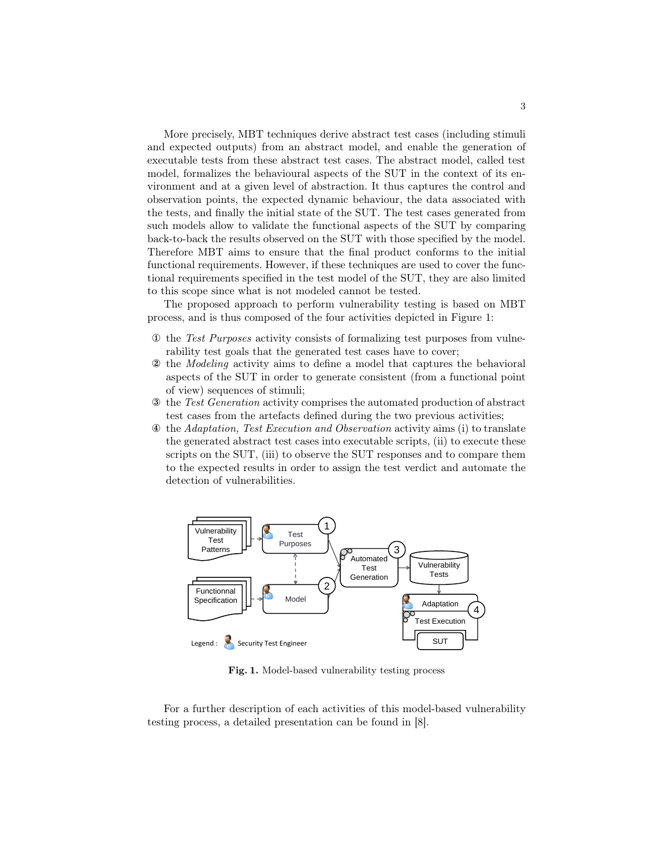More precisely, MBT techniques derive abstract test cases (including stimuli and expected outputs) from an abstract model, and enable the generation of executable tests from these abstract test cases. The abstract model, called test model, formalizes the behavioural aspects of the SUT in the context of its environment and at a given level of abstraction. It thus captures the control and observation points, the expected dynamic behaviour, the data associated with the tests, and finally the initial state of the SUT. The test cases generated from such models allow to validate the functional aspects of the SUT by comparing back-to-back the results observed on the SUT with those specified by the model. Therefore MBT aims to ensure that the final product conforms to the initial functional requirements. However, if these techniques are used to cover the functional requirements specified in the test model of the SUT, they are also limited to this scope since what is not modeled cannot be tested.

The proposed approach to perform vulnerability testing is based on MBT process, and is thus composed of the four activities depicted in Figure 1:

- $\Phi$  the Test Purposes activity consists of formalizing test purposes from vulnerability test goals that the generated test cases have to cover;
- ② the Modeling activity aims to define a model that captures the behavioral aspects of the SUT in order to generate consistent (from a functional point of view) sequences of stimuli;
- ③ the Test Generation activity comprises the automated production of abstract test cases from the artefacts defined during the two previous activities;
- ④ the Adaptation, Test Execution and Observation activity aims (i) to translate the generated abstract test cases into executable scripts, (ii) to execute these scripts on the SUT, (iii) to observe the SUT responses and to compare them to the expected results in order to assign the test verdict and automate the detection of vulnerabilities.



Fig. 1. Model-based vulnerability testing process

For a further description of each activities of this model-based vulnerability testing process, a detailed presentation can be found in [8].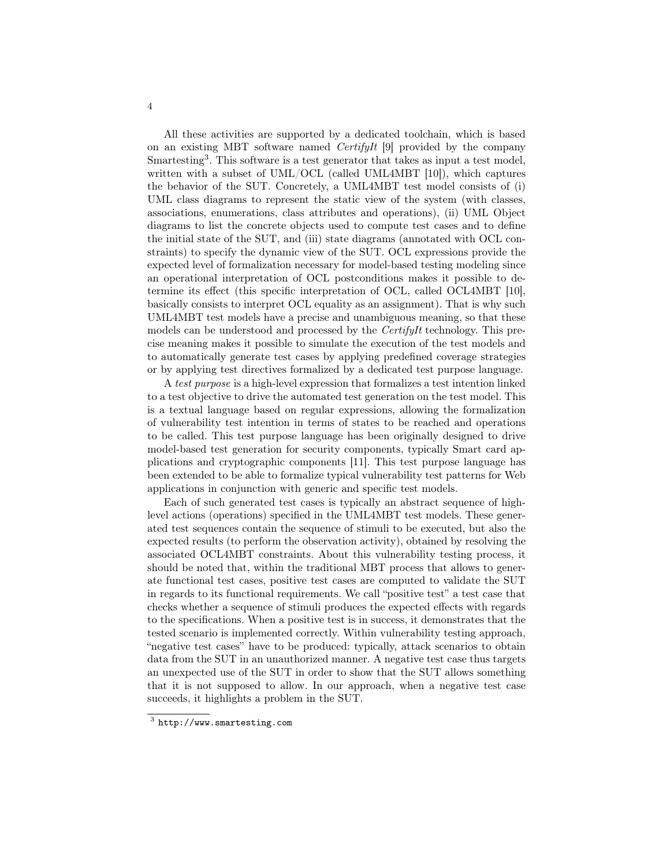All these activities are supported by a dedicated toolchain, which is based on an existing MBT software named *CertifyIt* [9] provided by the company Smartesting<sup>3</sup>. This software is a test generator that takes as input a test model, written with a subset of UML/OCL (called UML4MBT [10]), which captures the behavior of the SUT. Concretely, a UML4MBT test model consists of (i) UML class diagrams to represent the static view of the system (with classes, associations, enumerations, class attributes and operations), (ii) UML Object diagrams to list the concrete objects used to compute test cases and to define the initial state of the SUT, and (iii) state diagrams (annotated with OCL constraints) to specify the dynamic view of the SUT. OCL expressions provide the expected level of formalization necessary for model-based testing modeling since an operational interpretation of OCL postconditions makes it possible to determine its effect (this specific interpretation of OCL, called OCL4MBT [10], basically consists to interpret OCL equality as an assignment). That is why such UML4MBT test models have a precise and unambiguous meaning, so that these models can be understood and processed by the *CertifyIt* technology. This precise meaning makes it possible to simulate the execution of the test models and to automatically generate test cases by applying predefined coverage strategies or by applying test directives formalized by a dedicated test purpose language.

A test purpose is a high-level expression that formalizes a test intention linked to a test objective to drive the automated test generation on the test model. This is a textual language based on regular expressions, allowing the formalization of vulnerability test intention in terms of states to be reached and operations to be called. This test purpose language has been originally designed to drive model-based test generation for security components, typically Smart card applications and cryptographic components [11]. This test purpose language has been extended to be able to formalize typical vulnerability test patterns for Web applications in conjunction with generic and specific test models.

Each of such generated test cases is typically an abstract sequence of highlevel actions (operations) specified in the UML4MBT test models. These generated test sequences contain the sequence of stimuli to be executed, but also the expected results (to perform the observation activity), obtained by resolving the associated OCL4MBT constraints. About this vulnerability testing process, it should be noted that, within the traditional MBT process that allows to generate functional test cases, positive test cases are computed to validate the SUT in regards to its functional requirements. We call "positive test" a test case that checks whether a sequence of stimuli produces the expected effects with regards to the specifications. When a positive test is in success, it demonstrates that the tested scenario is implemented correctly. Within vulnerability testing approach, "negative test cases" have to be produced: typically, attack scenarios to obtain data from the SUT in an unauthorized manner. A negative test case thus targets an unexpected use of the SUT in order to show that the SUT allows something that it is not supposed to allow. In our approach, when a negative test case succeeds, it highlights a problem in the SUT.

 $3$  http://www.smartesting.com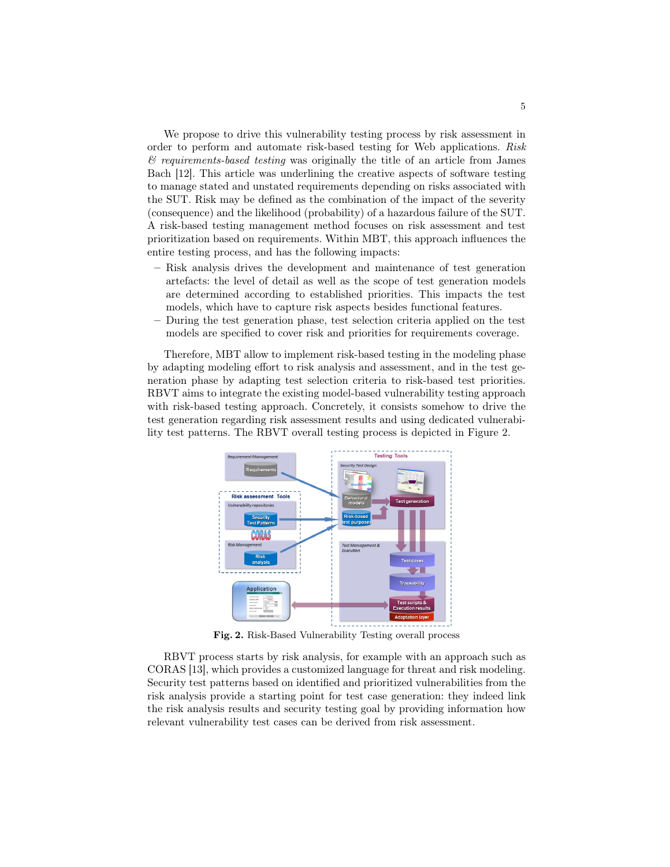We propose to drive this vulnerability testing process by risk assessment in order to perform and automate risk-based testing for Web applications. Risk  $\mathscr C$  requirements-based testing was originally the title of an article from James Bach [12]. This article was underlining the creative aspects of software testing to manage stated and unstated requirements depending on risks associated with the SUT. Risk may be defined as the combination of the impact of the severity (consequence) and the likelihood (probability) of a hazardous failure of the SUT. A risk-based testing management method focuses on risk assessment and test prioritization based on requirements. Within MBT, this approach influences the entire testing process, and has the following impacts:

- Risk analysis drives the development and maintenance of test generation artefacts: the level of detail as well as the scope of test generation models are determined according to established priorities. This impacts the test models, which have to capture risk aspects besides functional features.
- During the test generation phase, test selection criteria applied on the test models are specified to cover risk and priorities for requirements coverage.

Therefore, MBT allow to implement risk-based testing in the modeling phase by adapting modeling effort to risk analysis and assessment, and in the test generation phase by adapting test selection criteria to risk-based test priorities. RBVT aims to integrate the existing model-based vulnerability testing approach with risk-based testing approach. Concretely, it consists somehow to drive the test generation regarding risk assessment results and using dedicated vulnerability test patterns. The RBVT overall testing process is depicted in Figure 2.



Fig. 2. Risk-Based Vulnerability Testing overall process

RBVT process starts by risk analysis, for example with an approach such as CORAS [13], which provides a customized language for threat and risk modeling. Security test patterns based on identified and prioritized vulnerabilities from the risk analysis provide a starting point for test case generation: they indeed link the risk analysis results and security testing goal by providing information how relevant vulnerability test cases can be derived from risk assessment.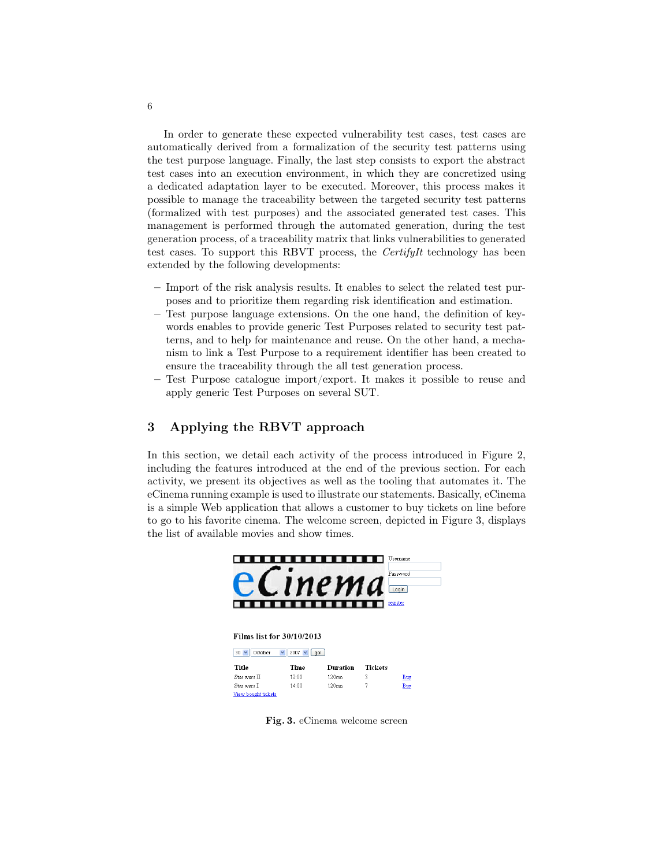In order to generate these expected vulnerability test cases, test cases are automatically derived from a formalization of the security test patterns using the test purpose language. Finally, the last step consists to export the abstract test cases into an execution environment, in which they are concretized using a dedicated adaptation layer to be executed. Moreover, this process makes it possible to manage the traceability between the targeted security test patterns (formalized with test purposes) and the associated generated test cases. This management is performed through the automated generation, during the test generation process, of a traceability matrix that links vulnerabilities to generated test cases. To support this RBVT process, the CertifyIt technology has been extended by the following developments:

- Import of the risk analysis results. It enables to select the related test purposes and to prioritize them regarding risk identification and estimation.
- Test purpose language extensions. On the one hand, the definition of keywords enables to provide generic Test Purposes related to security test patterns, and to help for maintenance and reuse. On the other hand, a mechanism to link a Test Purpose to a requirement identifier has been created to ensure the traceability through the all test generation process.
- Test Purpose catalogue import/export. It makes it possible to reuse and apply generic Test Purposes on several SUT.

# 3 Applying the RBVT approach

In this section, we detail each activity of the process introduced in Figure 2, including the features introduced at the end of the previous section. For each activity, we present its objectives as well as the tooling that automates it. The eCinema running example is used to illustrate our statements. Basically, eCinema is a simple Web application that allows a customer to buy tickets on line before to go to his favorite cinema. The welcome screen, depicted in Figure 3, displays the list of available movies and show times.



Fig. 3. eCinema welcome screen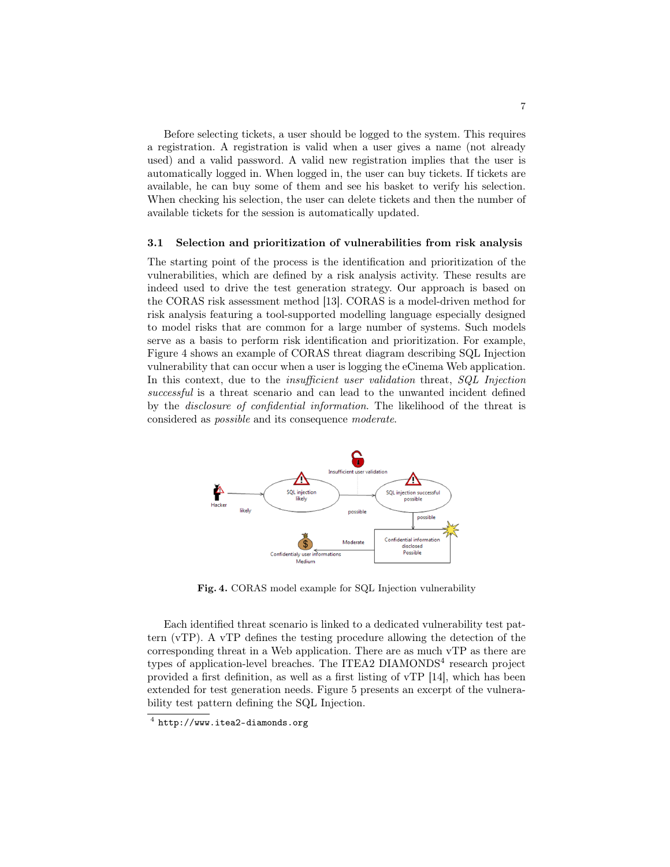Before selecting tickets, a user should be logged to the system. This requires a registration. A registration is valid when a user gives a name (not already used) and a valid password. A valid new registration implies that the user is automatically logged in. When logged in, the user can buy tickets. If tickets are available, he can buy some of them and see his basket to verify his selection. When checking his selection, the user can delete tickets and then the number of available tickets for the session is automatically updated.

#### 3.1 Selection and prioritization of vulnerabilities from risk analysis

The starting point of the process is the identification and prioritization of the vulnerabilities, which are defined by a risk analysis activity. These results are indeed used to drive the test generation strategy. Our approach is based on the CORAS risk assessment method [13]. CORAS is a model-driven method for risk analysis featuring a tool-supported modelling language especially designed to model risks that are common for a large number of systems. Such models serve as a basis to perform risk identification and prioritization. For example, Figure 4 shows an example of CORAS threat diagram describing SQL Injection vulnerability that can occur when a user is logging the eCinema Web application. In this context, due to the *insufficient user validation* threat, SQL Injection successful is a threat scenario and can lead to the unwanted incident defined by the disclosure of confidential information. The likelihood of the threat is considered as possible and its consequence moderate.



Fig. 4. CORAS model example for SQL Injection vulnerability

Each identified threat scenario is linked to a dedicated vulnerability test pattern (vTP). A vTP defines the testing procedure allowing the detection of the corresponding threat in a Web application. There are as much vTP as there are types of application-level breaches. The ITEA2 DIAMONDS<sup>4</sup> research project provided a first definition, as well as a first listing of vTP [14], which has been extended for test generation needs. Figure 5 presents an excerpt of the vulnerability test pattern defining the SQL Injection.

 $^4$  http://www.itea2-diamonds.org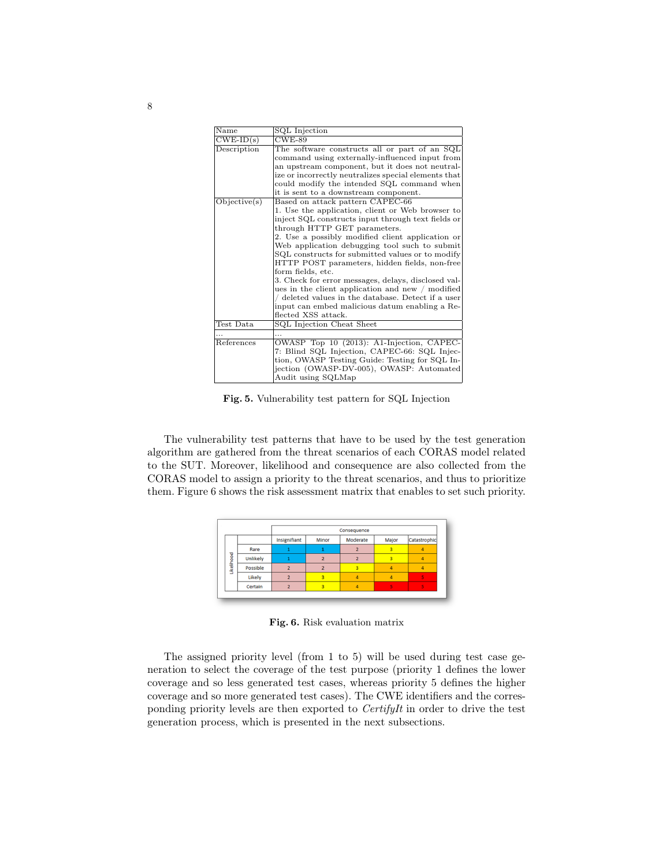| Name         | SQL Injection                                        |  |  |  |  |  |
|--------------|------------------------------------------------------|--|--|--|--|--|
| $CWE-ID(s)$  | $CWE-89$                                             |  |  |  |  |  |
| Description  | The software constructs all or part of an SQL        |  |  |  |  |  |
|              | command using externally-influenced input from       |  |  |  |  |  |
|              | an upstream component, but it does not neutral-      |  |  |  |  |  |
|              | ize or incorrectly neutralizes special elements that |  |  |  |  |  |
|              | could modify the intended SQL command when           |  |  |  |  |  |
|              | it is sent to a downstream component.                |  |  |  |  |  |
| Objective(s) | Based on attack pattern CAPEC-66                     |  |  |  |  |  |
|              | 1. Use the application, client or Web browser to     |  |  |  |  |  |
|              | inject SQL constructs input through text fields or   |  |  |  |  |  |
|              | through HTTP GET parameters.                         |  |  |  |  |  |
|              | 2. Use a possibly modified client application or     |  |  |  |  |  |
|              | Web application debugging tool such to submit        |  |  |  |  |  |
|              | SQL constructs for submitted values or to modify     |  |  |  |  |  |
|              | HTTP POST parameters, hidden fields, non-free        |  |  |  |  |  |
|              | form fields, etc.                                    |  |  |  |  |  |
|              | 3. Check for error messages, delays, disclosed val-  |  |  |  |  |  |
|              | ues in the client application and new / modified     |  |  |  |  |  |
|              | deleted values in the database. Detect if a user     |  |  |  |  |  |
|              | input can embed malicious datum enabling a Re-       |  |  |  |  |  |
|              | flected XSS attack.                                  |  |  |  |  |  |
| Test Data    | SQL Injection Cheat Sheet                            |  |  |  |  |  |
| .            | .                                                    |  |  |  |  |  |
| References   | OWASP Top 10 (2013): A1-Injection, CAPEC-            |  |  |  |  |  |
|              | 7: Blind SQL Injection, CAPEC-66: SQL Injec-         |  |  |  |  |  |
|              | tion, OWASP Testing Guide: Testing for SQL In-       |  |  |  |  |  |
|              | jection (OWASP-DV-005), OWASP: Automated             |  |  |  |  |  |
|              | Audit using SQLMap                                   |  |  |  |  |  |

Fig. 5. Vulnerability test pattern for SQL Injection

The vulnerability test patterns that have to be used by the test generation algorithm are gathered from the threat scenarios of each CORAS model related to the SUT. Moreover, likelihood and consequence are also collected from the CORAS model to assign a priority to the threat scenarios, and thus to prioritize them. Figure 6 shows the risk assessment matrix that enables to set such priority.

|            | Consequence     |              |                         |                         |       |              |
|------------|-----------------|--------------|-------------------------|-------------------------|-------|--------------|
| Likelihood |                 | Insignifiant | Minor                   | Moderate                | Major | Catastrophic |
|            | Rare            |              |                         | $\overline{2}$          | 3     |              |
|            | Unlikely        |              | C                       |                         | å     |              |
|            | <b>Possible</b> |              |                         | $\overline{\mathbf{3}}$ |       |              |
|            | Likely          |              | 3                       | Δ                       |       | 5            |
|            | Certain         |              | $\overline{\mathbf{a}}$ | $\overline{A}$          | ٩     |              |

Fig. 6. Risk evaluation matrix

The assigned priority level (from 1 to 5) will be used during test case generation to select the coverage of the test purpose (priority 1 defines the lower coverage and so less generated test cases, whereas priority 5 defines the higher coverage and so more generated test cases). The CWE identifiers and the corresponding priority levels are then exported to CertifyIt in order to drive the test generation process, which is presented in the next subsections.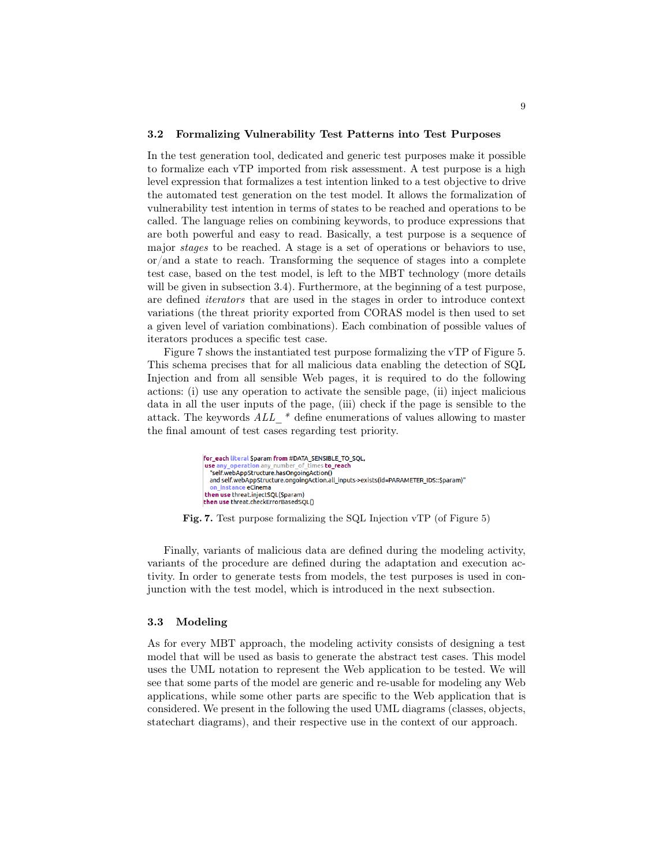#### 3.2 Formalizing Vulnerability Test Patterns into Test Purposes

In the test generation tool, dedicated and generic test purposes make it possible to formalize each vTP imported from risk assessment. A test purpose is a high level expression that formalizes a test intention linked to a test objective to drive the automated test generation on the test model. It allows the formalization of vulnerability test intention in terms of states to be reached and operations to be called. The language relies on combining keywords, to produce expressions that are both powerful and easy to read. Basically, a test purpose is a sequence of major stages to be reached. A stage is a set of operations or behaviors to use, or/and a state to reach. Transforming the sequence of stages into a complete test case, based on the test model, is left to the MBT technology (more details will be given in subsection 3.4). Furthermore, at the beginning of a test purpose, are defined iterators that are used in the stages in order to introduce context variations (the threat priority exported from CORAS model is then used to set a given level of variation combinations). Each combination of possible values of iterators produces a specific test case.

Figure 7 shows the instantiated test purpose formalizing the vTP of Figure 5. This schema precises that for all malicious data enabling the detection of SQL Injection and from all sensible Web pages, it is required to do the following actions: (i) use any operation to activate the sensible page, (ii) inject malicious data in all the user inputs of the page, (iii) check if the page is sensible to the attack. The keywords  $ALL$ <sup>\*</sup> define enumerations of values allowing to master the final amount of test cases regarding test priority.



#### Fig. 7. Test purpose formalizing the SQL Injection vTP (of Figure 5)

Finally, variants of malicious data are defined during the modeling activity, variants of the procedure are defined during the adaptation and execution activity. In order to generate tests from models, the test purposes is used in conjunction with the test model, which is introduced in the next subsection.

#### 3.3 Modeling

As for every MBT approach, the modeling activity consists of designing a test model that will be used as basis to generate the abstract test cases. This model uses the UML notation to represent the Web application to be tested. We will see that some parts of the model are generic and re-usable for modeling any Web applications, while some other parts are specific to the Web application that is considered. We present in the following the used UML diagrams (classes, objects, statechart diagrams), and their respective use in the context of our approach.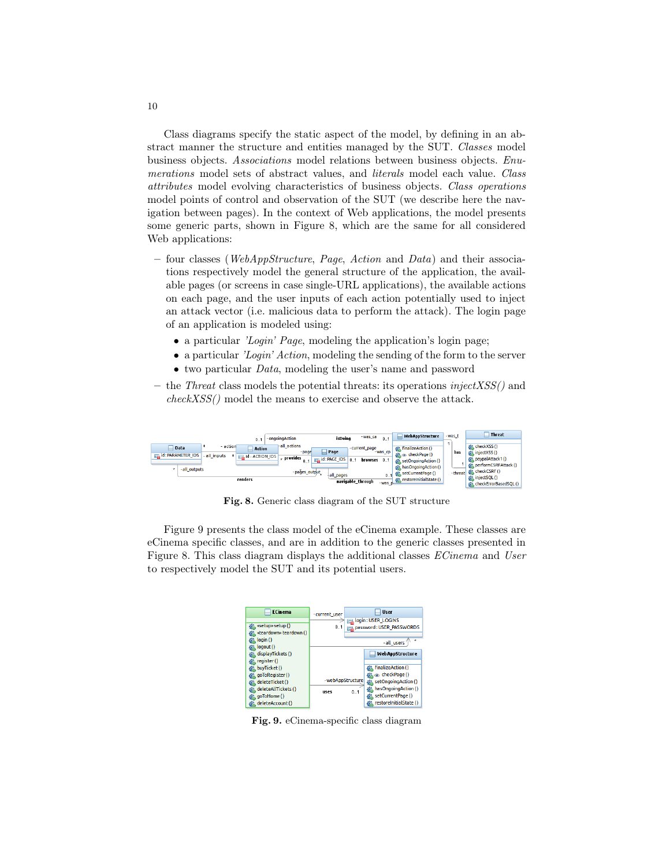Class diagrams specify the static aspect of the model, by defining in an abstract manner the structure and entities managed by the SUT. Classes model business objects. Associations model relations between business objects. Enumerations model sets of abstract values, and literals model each value. Class attributes model evolving characteristics of business objects. Class operations model points of control and observation of the SUT (we describe here the navigation between pages). In the context of Web applications, the model presents some generic parts, shown in Figure 8, which are the same for all considered Web applications:

- four classes (WebAppStructure, Page, Action and Data) and their associations respectively model the general structure of the application, the available pages (or screens in case single-URL applications), the available actions on each page, and the user inputs of each action potentially used to inject an attack vector (i.e. malicious data to perform the attack). The login page of an application is modeled using:
	- a particular 'Login' Page, modeling the application's login page;
	- a particular 'Login' Action, modeling the sending of the form to the server
	- two particular Data, modeling the user's name and password
- the Threat class models the potential threats: its operations  $injectXSS()$  and checkXSS() model the means to exercise and observe the attack.



Fig. 8. Generic class diagram of the SUT structure

Figure 9 presents the class model of the eCinema example. These classes are eCinema specific classes, and are in addition to the generic classes presented in Figure 8. This class diagram displays the additional classes ECinema and User to respectively model the SUT and its potential users.

| <b>ECinema</b>         | -current user                   | <b>User</b>             |  |
|------------------------|---------------------------------|-------------------------|--|
|                        |                                 | login: USER_LOGINS      |  |
| «setup» setup ()       | 0.1<br>password: USER_PASSWORDS |                         |  |
| «teardown» teardown () |                                 |                         |  |
| login()                |                                 | -all_users              |  |
| logout ()              |                                 |                         |  |
| displayTickets()       |                                 | WebAppStructure         |  |
| register()             |                                 |                         |  |
| buyTicket()            |                                 | finalizeAction ()       |  |
| qoToRegister()         |                                 | checkPage ()            |  |
| deleteTicket()         | - webAppStructure               | setOngoingAction()<br>€ |  |
| deleteAllTickets()     | 0.1<br>uses                     | hasOngoingAction()      |  |
| goToHome()             |                                 | setCurrentPage()        |  |
| deleteAccount()        |                                 | restoreInitialState()   |  |

Fig. 9. eCinema-specific class diagram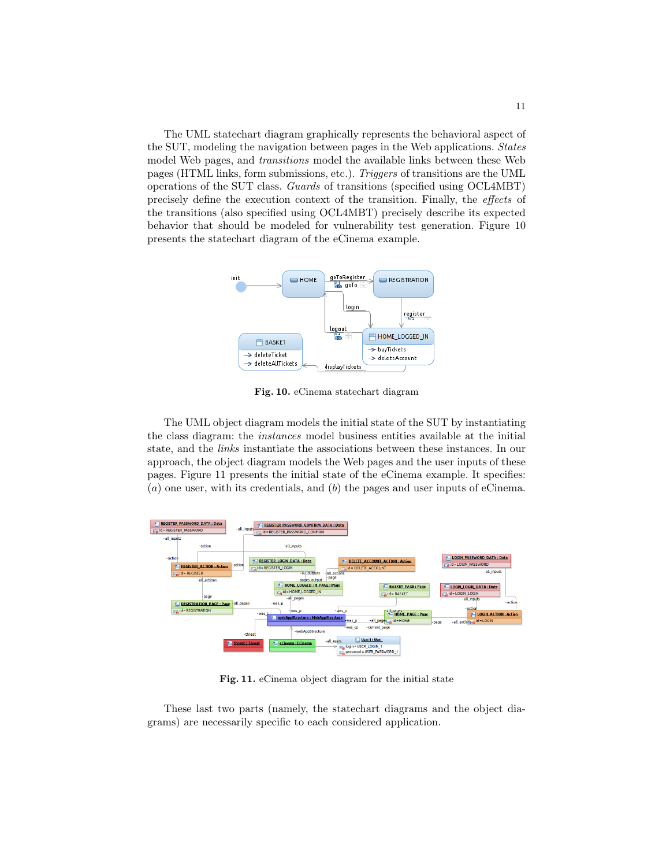The UML statechart diagram graphically represents the behavioral aspect of the SUT, modeling the navigation between pages in the Web applications. States model Web pages, and transitions model the available links between these Web pages (HTML links, form submissions, etc.). Triggers of transitions are the UML operations of the SUT class. Guards of transitions (specified using OCL4MBT) precisely define the execution context of the transition. Finally, the effects of the transitions (also specified using OCL4MBT) precisely describe its expected behavior that should be modeled for vulnerability test generation. Figure 10 presents the statechart diagram of the eCinema example.



Fig. 10. eCinema statechart diagram

The UML object diagram models the initial state of the SUT by instantiating the class diagram: the instances model business entities available at the initial state, and the links instantiate the associations between these instances. In our approach, the object diagram models the Web pages and the user inputs of these pages. Figure 11 presents the initial state of the eCinema example. It specifies:  $(a)$  one user, with its credentials, and  $(b)$  the pages and user inputs of eCinema.



Fig. 11. eCinema object diagram for the initial state

These last two parts (namely, the statechart diagrams and the object diagrams) are necessarily specific to each considered application.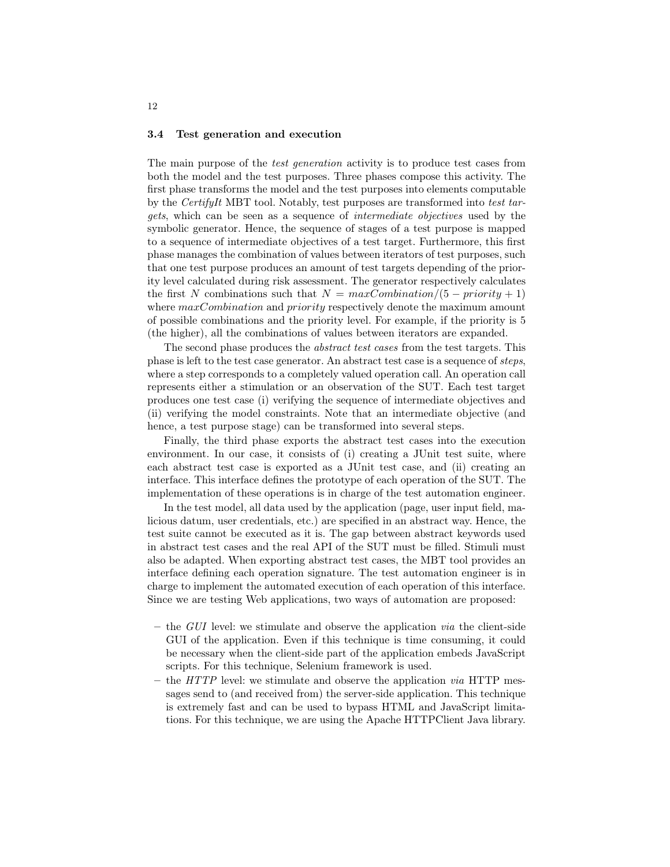#### 3.4 Test generation and execution

The main purpose of the test generation activity is to produce test cases from both the model and the test purposes. Three phases compose this activity. The first phase transforms the model and the test purposes into elements computable by the CertifyIt MBT tool. Notably, test purposes are transformed into test targets, which can be seen as a sequence of intermediate objectives used by the symbolic generator. Hence, the sequence of stages of a test purpose is mapped to a sequence of intermediate objectives of a test target. Furthermore, this first phase manages the combination of values between iterators of test purposes, such that one test purpose produces an amount of test targets depending of the priority level calculated during risk assessment. The generator respectively calculates the first N combinations such that  $N = maxCombination/(5 - priority + 1)$ where  $maxCombination$  and  $priority$  respectively denote the maximum amount of possible combinations and the priority level. For example, if the priority is 5 (the higher), all the combinations of values between iterators are expanded.

The second phase produces the abstract test cases from the test targets. This phase is left to the test case generator. An abstract test case is a sequence of steps, where a step corresponds to a completely valued operation call. An operation call represents either a stimulation or an observation of the SUT. Each test target produces one test case (i) verifying the sequence of intermediate objectives and (ii) verifying the model constraints. Note that an intermediate objective (and hence, a test purpose stage) can be transformed into several steps.

Finally, the third phase exports the abstract test cases into the execution environment. In our case, it consists of (i) creating a JUnit test suite, where each abstract test case is exported as a JUnit test case, and (ii) creating an interface. This interface defines the prototype of each operation of the SUT. The implementation of these operations is in charge of the test automation engineer.

In the test model, all data used by the application (page, user input field, malicious datum, user credentials, etc.) are specified in an abstract way. Hence, the test suite cannot be executed as it is. The gap between abstract keywords used in abstract test cases and the real API of the SUT must be filled. Stimuli must also be adapted. When exporting abstract test cases, the MBT tool provides an interface defining each operation signature. The test automation engineer is in charge to implement the automated execution of each operation of this interface. Since we are testing Web applications, two ways of automation are proposed:

- the  $GUI$  level: we stimulate and observe the application *via* the client-side GUI of the application. Even if this technique is time consuming, it could be necessary when the client-side part of the application embeds JavaScript scripts. For this technique, Selenium framework is used.
- the  $HTTP$  level: we stimulate and observe the application *via* HTTP messages send to (and received from) the server-side application. This technique is extremely fast and can be used to bypass HTML and JavaScript limitations. For this technique, we are using the Apache HTTPClient Java library.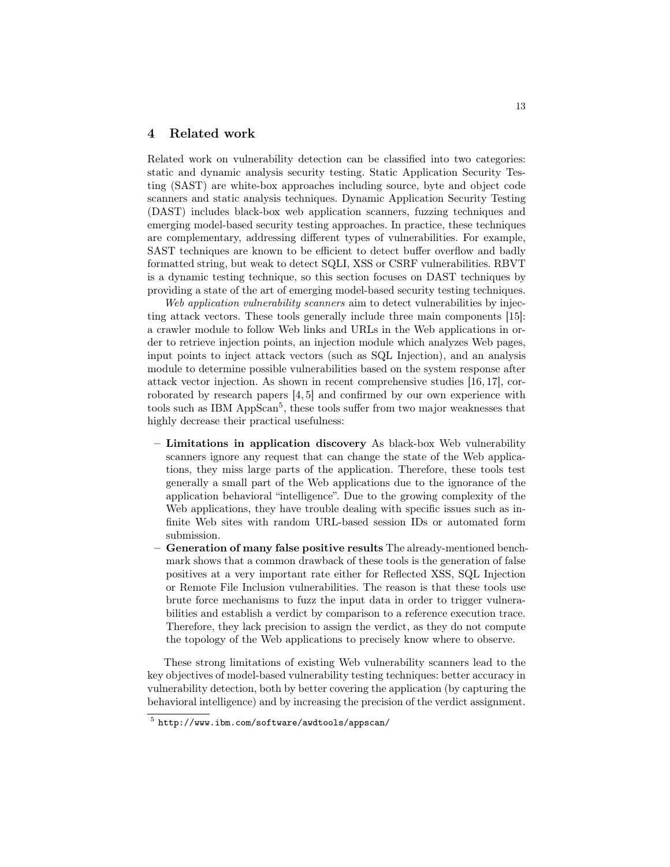### 4 Related work

Related work on vulnerability detection can be classified into two categories: static and dynamic analysis security testing. Static Application Security Testing (SAST) are white-box approaches including source, byte and object code scanners and static analysis techniques. Dynamic Application Security Testing (DAST) includes black-box web application scanners, fuzzing techniques and emerging model-based security testing approaches. In practice, these techniques are complementary, addressing different types of vulnerabilities. For example, SAST techniques are known to be efficient to detect buffer overflow and badly formatted string, but weak to detect SQLI, XSS or CSRF vulnerabilities. RBVT is a dynamic testing technique, so this section focuses on DAST techniques by providing a state of the art of emerging model-based security testing techniques.

Web application vulnerability scanners aim to detect vulnerabilities by injecting attack vectors. These tools generally include three main components [15]: a crawler module to follow Web links and URLs in the Web applications in order to retrieve injection points, an injection module which analyzes Web pages, input points to inject attack vectors (such as SQL Injection), and an analysis module to determine possible vulnerabilities based on the system response after attack vector injection. As shown in recent comprehensive studies [16, 17], corroborated by research papers [4, 5] and confirmed by our own experience with tools such as IBM AppScan<sup>5</sup>, these tools suffer from two major weaknesses that highly decrease their practical usefulness:

- Limitations in application discovery As black-box Web vulnerability scanners ignore any request that can change the state of the Web applications, they miss large parts of the application. Therefore, these tools test generally a small part of the Web applications due to the ignorance of the application behavioral "intelligence". Due to the growing complexity of the Web applications, they have trouble dealing with specific issues such as infinite Web sites with random URL-based session IDs or automated form submission.
- Generation of many false positive results The already-mentioned benchmark shows that a common drawback of these tools is the generation of false positives at a very important rate either for Reflected XSS, SQL Injection or Remote File Inclusion vulnerabilities. The reason is that these tools use brute force mechanisms to fuzz the input data in order to trigger vulnerabilities and establish a verdict by comparison to a reference execution trace. Therefore, they lack precision to assign the verdict, as they do not compute the topology of the Web applications to precisely know where to observe.

These strong limitations of existing Web vulnerability scanners lead to the key objectives of model-based vulnerability testing techniques: better accuracy in vulnerability detection, both by better covering the application (by capturing the behavioral intelligence) and by increasing the precision of the verdict assignment.

 $^5$  http://www.ibm.com/software/awdtools/appscan/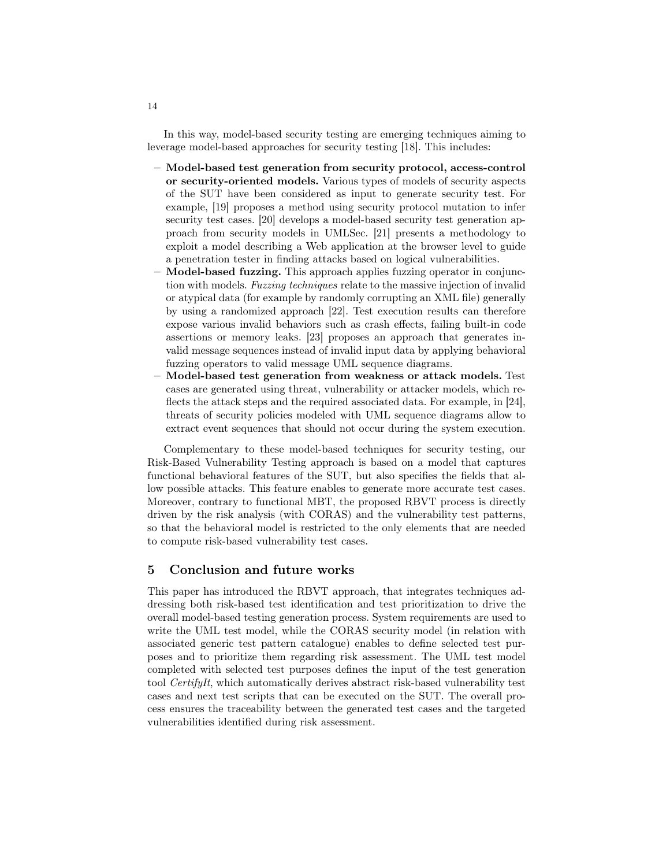In this way, model-based security testing are emerging techniques aiming to leverage model-based approaches for security testing [18]. This includes:

- Model-based test generation from security protocol, access-control or security-oriented models. Various types of models of security aspects of the SUT have been considered as input to generate security test. For example, [19] proposes a method using security protocol mutation to infer security test cases. [20] develops a model-based security test generation approach from security models in UMLSec. [21] presents a methodology to exploit a model describing a Web application at the browser level to guide a penetration tester in finding attacks based on logical vulnerabilities.
- Model-based fuzzing. This approach applies fuzzing operator in conjunction with models. Fuzzing techniques relate to the massive injection of invalid or atypical data (for example by randomly corrupting an XML file) generally by using a randomized approach [22]. Test execution results can therefore expose various invalid behaviors such as crash effects, failing built-in code assertions or memory leaks. [23] proposes an approach that generates invalid message sequences instead of invalid input data by applying behavioral fuzzing operators to valid message UML sequence diagrams.
- Model-based test generation from weakness or attack models. Test cases are generated using threat, vulnerability or attacker models, which reflects the attack steps and the required associated data. For example, in [24], threats of security policies modeled with UML sequence diagrams allow to extract event sequences that should not occur during the system execution.

Complementary to these model-based techniques for security testing, our Risk-Based Vulnerability Testing approach is based on a model that captures functional behavioral features of the SUT, but also specifies the fields that allow possible attacks. This feature enables to generate more accurate test cases. Moreover, contrary to functional MBT, the proposed RBVT process is directly driven by the risk analysis (with CORAS) and the vulnerability test patterns, so that the behavioral model is restricted to the only elements that are needed to compute risk-based vulnerability test cases.

# 5 Conclusion and future works

This paper has introduced the RBVT approach, that integrates techniques addressing both risk-based test identification and test prioritization to drive the overall model-based testing generation process. System requirements are used to write the UML test model, while the CORAS security model (in relation with associated generic test pattern catalogue) enables to define selected test purposes and to prioritize them regarding risk assessment. The UML test model completed with selected test purposes defines the input of the test generation tool CertifyIt, which automatically derives abstract risk-based vulnerability test cases and next test scripts that can be executed on the SUT. The overall process ensures the traceability between the generated test cases and the targeted vulnerabilities identified during risk assessment.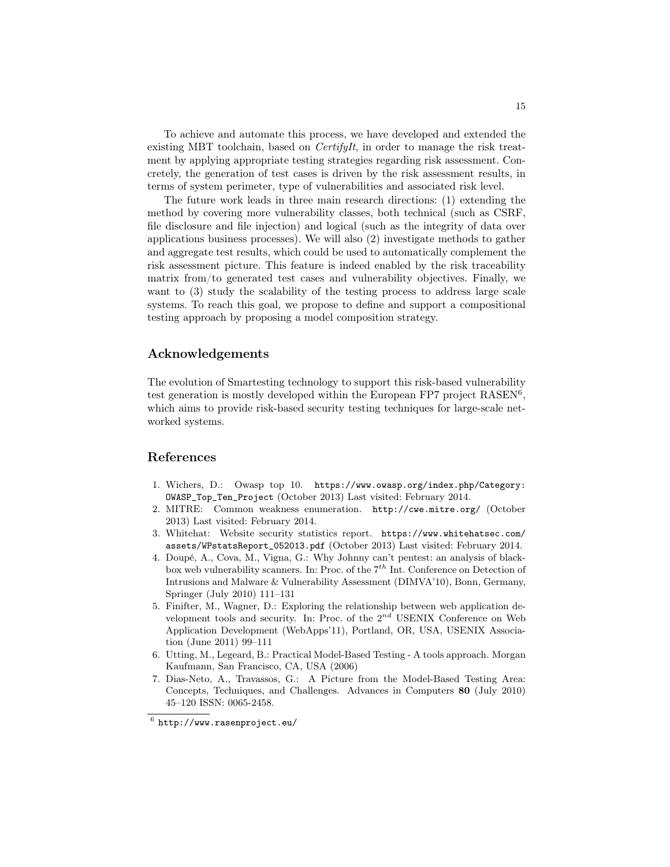To achieve and automate this process, we have developed and extended the existing MBT toolchain, based on  $CertifyIt$ , in order to manage the risk treatment by applying appropriate testing strategies regarding risk assessment. Concretely, the generation of test cases is driven by the risk assessment results, in terms of system perimeter, type of vulnerabilities and associated risk level.

The future work leads in three main research directions: (1) extending the method by covering more vulnerability classes, both technical (such as CSRF, file disclosure and file injection) and logical (such as the integrity of data over applications business processes). We will also (2) investigate methods to gather and aggregate test results, which could be used to automatically complement the risk assessment picture. This feature is indeed enabled by the risk traceability matrix from/to generated test cases and vulnerability objectives. Finally, we want to (3) study the scalability of the testing process to address large scale systems. To reach this goal, we propose to define and support a compositional testing approach by proposing a model composition strategy.

# Acknowledgements

The evolution of Smartesting technology to support this risk-based vulnerability test generation is mostly developed within the European FP7 project  $RASEN<sup>6</sup>$ , which aims to provide risk-based security testing techniques for large-scale networked systems.

# References

- 1. Wichers, D.: Owasp top 10. https://www.owasp.org/index.php/Category: OWASP\_Top\_Ten\_Project (October 2013) Last visited: February 2014.
- 2. MITRE: Common weakness enumeration. http://cwe.mitre.org/ (October 2013) Last visited: February 2014.
- 3. Whitehat: Website security statistics report. https://www.whitehatsec.com/ assets/WPstatsReport\_052013.pdf (October 2013) Last visited: February 2014.
- 4. Doupé, A., Cova, M., Vigna, G.: Why Johnny can't pentest: an analysis of blackbox web vulnerability scanners. In: Proc. of the  $7<sup>th</sup>$  Int. Conference on Detection of Intrusions and Malware & Vulnerability Assessment (DIMVA'10), Bonn, Germany, Springer (July 2010) 111–131
- 5. Finifter, M., Wagner, D.: Exploring the relationship between web application development tools and security. In: Proc. of the  $2^{nd}$  USENIX Conference on Web Application Development (WebApps'11), Portland, OR, USA, USENIX Association (June 2011) 99–111
- 6. Utting, M., Legeard, B.: Practical Model-Based Testing A tools approach. Morgan Kaufmann, San Francisco, CA, USA (2006)
- 7. Dias-Neto, A., Travassos, G.: A Picture from the Model-Based Testing Area: Concepts, Techniques, and Challenges. Advances in Computers 80 (July 2010) 45–120 ISSN: 0065-2458.

 $^6$  http://www.rasenproject.eu/